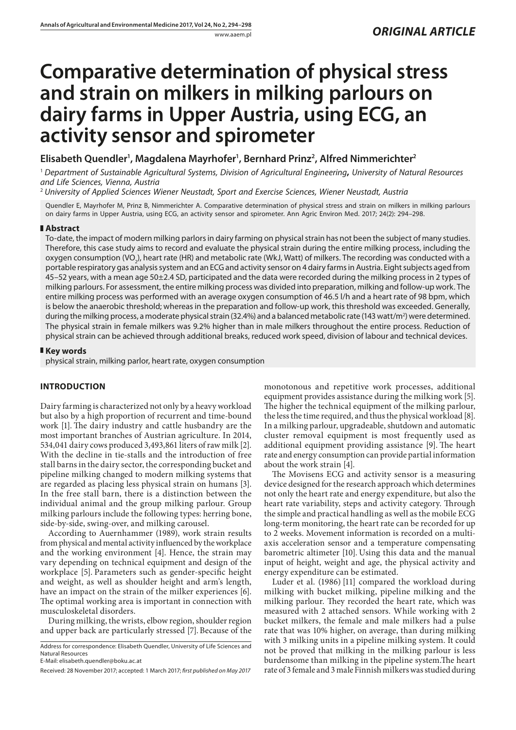# **Comparative determination of physical stress and strain on milkers in milking parlours on dairy farms in Upper Austria, using ECG, an activity sensor and spirometer**

## **Elisabeth Quendler1 , Magdalena Mayrhofer1 , Bernhard Prinz2 , Alfred Nimmerichter2**

<sup>1</sup> *Department of Sustainable Agricultural Systems, Division of Agricultural Engineering***,** *University of Natural Resources and Life Sciences, Vienna, Austria*

<sup>2</sup> *University of Applied Sciences Wiener Neustadt, Sport and Exercise Sciences, Wiener Neustadt, Austria*

Quendler E, Mayrhofer M, Prinz B, Nimmerichter A. Comparative determination of physical stress and strain on milkers in milking parlours on dairy farms in Upper Austria, using ECG, an activity sensor and spirometer. Ann Agric Environ Med. 2017; 24(2): 294–298.

#### **Abstract**

To-date, the impact of modern milking parlors in dairy farming on physical strain has not been the subject of many studies. Therefore, this case study aims to record and evaluate the physical strain during the entire milking process, including the oxygen consumption (VO<sub>2</sub>), heart rate (HR) and metabolic rate (WkJ, Watt) of milkers. The recording was conducted with a portable respiratory gas analysis system and an ECG and activity sensor on 4 dairy farms in Austria. Eight subjects aged from 45–52 years, with a mean age 50±2.4 SD, participated and the data were recorded during the milking process in 2 types of milking parlours. For assessment, the entire milking process was divided into preparation, milking and follow-up work. The entire milking process was performed with an average oxygen consumption of 46.5 l/h and a heart rate of 98 bpm, which is below the anaerobic threshold; whereas in the preparation and follow-up work, this threshold was exceeded. Generally, during the milking process, a moderate physical strain (32.4%) and a balanced metabolic rate (143 watt/m<sup>2</sup>) were determined. The physical strain in female milkers was 9.2% higher than in male milkers throughout the entire process. Reduction of physical strain can be achieved through additional breaks, reduced work speed, division of labour and technical devices.

#### **Key words**

physical strain, milking parlor, heart rate, oxygen consumption

### **INTRODUCTION**

Dairy farming is characterized not only by a heavy workload but also by a high proportion of recurrent and time-bound work [1]. The dairy industry and cattle husbandry are the most important branches of Austrian agriculture. In 2014, 534,041 dairy cows produced 3,493,861 liters of raw milk [2]. With the decline in tie-stalls and the introduction of free stall barns in the dairy sector, the corresponding bucket and pipeline milking changed to modern milking systems that are regarded as placing less physical strain on humans [3]. In the free stall barn, there is a distinction between the individual animal and the group milking parlour. Group milking parlours include the following types: herring bone, side-by-side, swing-over, and milking carousel.

According to Auernhammer (1989), work strain results from physical and mental activity influenced by the workplace and the working environment [4]. Hence, the strain may vary depending on technical equipment and design of the workplace [5]. Parameters such as gender-specific height and weight, as well as shoulder height and arm's length, have an impact on the strain of the milker experiences [6]. The optimal working area is important in connection with musculoskeletal disorders.

During milking, the wrists, elbow region, shoulder region and upper back are particularly stressed [7].Because of the monotonous and repetitive work processes, additional equipment provides assistance during the milking work [5]. The higher the technical equipment of the milking parlour, the less the time required, and thus the physical workload [8]. In a milking parlour, upgradeable, shutdown and automatic cluster removal equipment is most frequently used as additional equipment providing assistance [9]. The heart rate and energy consumption can provide partial information about the work strain [4].

The Movisens ECG and activity sensor is a measuring device designed for the research approach which determines not only the heart rate and energy expenditure, but also the heart rate variability, steps and activity category. Through the simple and practical handling as well as the mobile ECG long-term monitoring, the heart rate can be recorded for up to 2 weeks. Movement information is recorded on a multiaxis acceleration sensor and a temperature compensating barometric altimeter [10]. Using this data and the manual input of height, weight and age, the physical activity and energy expenditure can be estimated.

Luder et al. (1986) [11] compared the workload during milking with bucket milking, pipeline milking and the milking parlour. They recorded the heart rate, which was measured with 2 attached sensors. While working with 2 bucket milkers, the female and male milkers had a pulse rate that was 10% higher, on average, than during milking with 3 milking units in a pipeline milking system. It could not be proved that milking in the milking parlour is less burdensome than milking in the pipeline system.The heart rate of 3 female and 3 male Finnish milkers was studied during

Address for correspondence: Elisabeth Quendler, University of Life Sciences and Natural Resources

E-Mail: [elisabeth.quendler@boku.ac.at](mailto:elisabeth.quendler@boku.ac.at)

Received: 28 November 2017; accepted: 1 March 2017; *first published on May 2017*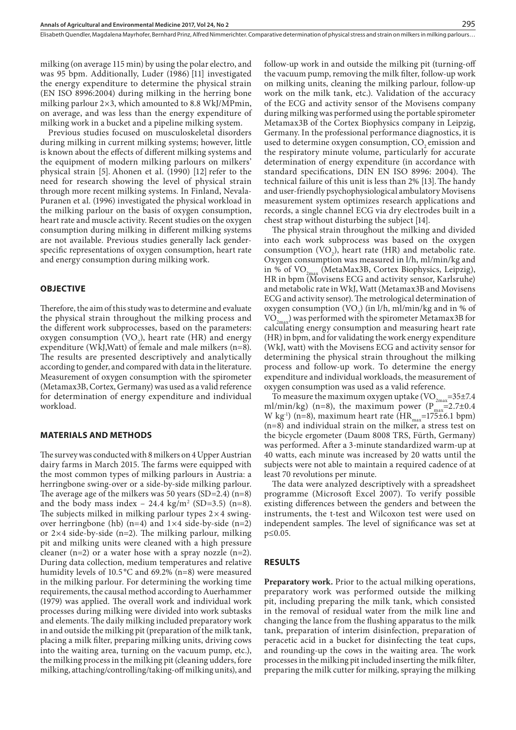milking (on average 115 min) by using the polar electro, and was 95 bpm. Additionally, Luder (1986) [11] investigated the energy expenditure to determine the physical strain (EN ISO 8996:2004) during milking in the herring bone milking parlour 2×3, which amounted to 8.8 WkJ/MPmin, on average, and was less than the energy expenditure of milking work in a bucket and a pipeline milking system.

Previous studies focused on musculoskeletal disorders during milking in current milking systems; however, little is known about the effects of different milking systems and the equipment of modern milking parlours on milkers' physical strain [5]. Ahonen et al. (1990) [12] refer to the need for research showing the level of physical strain through more recent milking systems. In Finland, Nevala-Puranen et al. (1996) investigated the physical workload in the milking parlour on the basis of oxygen consumption, heart rate and muscle activity. Recent studies on the oxygen consumption during milking in different milking systems are not available. Previous studies generally lack genderspecific representations of oxygen consumption, heart rate and energy consumption during milking work.

#### **OBJECTIVE**

Therefore, the aim of this study was to determine and evaluate the physical strain throughout the milking process and the different work subprocesses, based on the parameters: oxygen consumption  $(VO_2)$ , heart rate (HR) and energy expenditure (WkJ,Watt) of female and male milkers (n=8). The results are presented descriptively and analytically according to gender, and compared with data in the literature. Measurement of oxygen consumption with the spirometer (Metamax3B, Cortex, Germany) was used as a valid reference for determination of energy expenditure and individual workload.

#### **MATERIALS AND METHODS**

The survey was conducted with 8 milkers on 4 Upper Austrian dairy farms in March 2015. The farms were equipped with the most common types of milking parlours in Austria: a herringbone swing-over or a side-by-side milking parlour. The average age of the milkers was 50 years  $(SD=2.4)$  (n=8) and the body mass index  $-24.4 \text{ kg/m}^2 \text{ (SD=3.5) (n=8)}.$ The subjects milked in milking parlour types  $2 \times 4$  swingover herringbone (hb)  $(n=4)$  and  $1\times4$  side-by-side  $(n=2)$ or 2×4 side-by-side (n=2). The milking parlour, milking pit and milking units were cleaned with a high pressure cleaner  $(n=2)$  or a water hose with a spray nozzle  $(n=2)$ . During data collection, medium temperatures and relative humidity levels of 10.5 °C and 69.2% (n=8) were measured in the milking parlour. For determining the working time requirements, the causal method according to Auerhammer (1979) was applied. The overall work and individual work processes during milking were divided into work subtasks and elements. The daily milking included preparatory work in and outside the milking pit (preparation of the milk tank, placing a milk filter, preparing milking units, driving cows into the waiting area, turning on the vacuum pump, etc.), the milking process in the milking pit (cleaning udders, fore milking, attaching/controlling/taking-off milking units), and

follow-up work in and outside the milking pit (turning-off the vacuum pump, removing the milk filter, follow-up work on milking units, cleaning the milking parlour, follow-up work on the milk tank, etc.). Validation of the accuracy of the ECG and activity sensor of the Movisens company during milking was performed using the portable spirometer Metamax3B of the Cortex Biophysics company in Leipzig, Germany. In the professional performance diagnostics, it is used to determine oxygen consumption, CO<sub>2</sub> emission and the respiratory minute volume, particularly for accurate determination of energy expenditure (in accordance with standard specifications, DIN EN ISO 8996: 2004). The technical failure of this unit is less than 2% [13].The handy and user-friendly psychophysiological ambulatory Movisens measurement system optimizes research applications and records, a single channel ECG via dry electrodes built in a chest strap without disturbing the subject [14].

The physical strain throughout the milking and divided into each work subprocess was based on the oxygen consumption  $(VO_2)$ , heart rate (HR) and metabolic rate. Oxygen consumption was measured in l/h, ml/min/kg and in % of  $VO_{2max}$  (MetaMax3B, Cortex Biophysics, Leipzig), HR in bpm (Movisens ECG and activity sensor, Karlsruhe) and metabolic rate in WkJ, Watt (Metamax3B and Movisens ECG and activity sensor). The metrological determination of oxygen consumption  $(VO_2)$  (in l/h, ml/min/kg and in % of  $\rm VO_{2max}$ ) was performed with the spirometer Metamax3B for calculating energy consumption and measuring heart rate (HR) in bpm, and for validating the work energy expenditure (WkJ, watt) with the Movisens ECG and activity sensor for determining the physical strain throughout the milking process and follow-up work. To determine the energy expenditure and individual workloads, the measurement of oxygen consumption was used as a valid reference.

To measure the maximum oxygen uptake (VO<sub>2max</sub>=35±7.4) ml/min/kg) (n=8), the maximum power ( $P_{max}$ =2.7±0.4 W kg<sup>-1</sup>) (n=8), maximum heart rate (HR<sub>max</sub>=175±6.1 bpm) (n=8) and individual strain on the milker, a stress test on the bicycle ergometer (Daum 8008 TRS, Fürth, Germany) was performed. After a 3-minute standardized warm-up at 40 watts, each minute was increased by 20 watts until the subjects were not able to maintain a required cadence of at least 70 revolutions per minute.

The data were analyzed descriptively with a spreadsheet programme (Microsoft Excel 2007). To verify possible existing differences between the genders and between the instruments, the t-test and Wilcoxon test were used on independent samples. The level of significance was set at p≤0.05.

#### **RESULTS**

**Preparatory work.** Prior to the actual milking operations, preparatory work was performed outside the milking pit, including preparing the milk tank, which consisted in the removal of residual water from the milk line and changing the lance from the flushing apparatus to the milk tank, preparation of interim disinfection, preparation of peracetic acid in a bucket for disinfecting the teat cups, and rounding-up the cows in the waiting area. The work processes in the milking pit included inserting the milk filter, preparing the milk cutter for milking, spraying the milking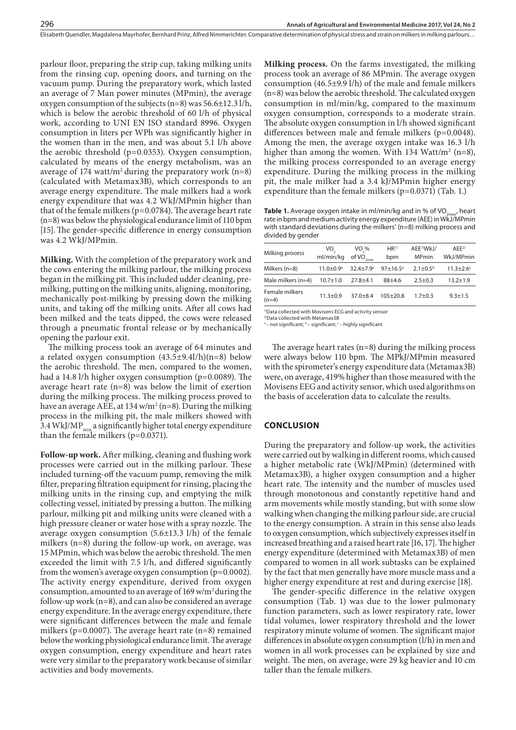Elisabeth Quendler, Magdalena Mayrhofer, Bernhard Prinz, Alfred Nimmerichter . Comparative determination of physical stress and strain on milkers in milking parlours…

parlour floor, preparing the strip cup, taking milking units from the rinsing cup, opening doors, and turning on the vacuum pump. During the preparatory work, which lasted an average of 7 Man power minutes (MPmin), the average oxygen consumption of the subjects (n=8) was 56.6±12.3 l/h, which is below the aerobic threshold of 60 l/h of physical work, according to UNI EN ISO standard 8996. Oxygen consumption in liters per WPh was significantly higher in the women than in the men, and was about 5.1 l/h above the aerobic threshold (p=0.0353). Oxygen consumption, calculated by means of the energy metabolism, was an average of 174 watt/ $m^2$  during the preparatory work  $(n=8)$ (calculated with Metamax3B), which corresponds to an average energy expenditure. The male milkers had a work energy expenditure that was 4.2 WkJ/MPmin higher than that of the female milkers ( $p=0.0784$ ). The average heart rate (n=8) was below the physiological endurance limit of 110 bpm [15]. The gender-specific difference in energy consumption was 4.2 WkJ/MPmin.

**Milking.** With the completion of the preparatory work and the cows entering the milking parlour, the milking process began in the milking pit. This included udder cleaning, premilking, putting on the milking units, aligning, monitoring, mechanically post-milking by pressing down the milking units, and taking off the milking units. After all cows had been milked and the teats dipped, the cows were released through a pneumatic frontal release or by mechanically opening the parlour exit.

The milking process took an average of 64 minutes and a related oxygen consumption  $(43.5\pm9.4l/h)(n=8)$  below the aerobic threshold. The men, compared to the women, had a 14.8 l/h higher oxygen consumption (p=0.0089). The average heart rate (n=8) was below the limit of exertion during the milking process. The milking process proved to have an average AEE, at 134 w/m² (n=8). During the milking process in the milking pit, the male milkers showed with 3.4 WkJ/MP $_{\text{min}}$  a significantly higher total energy expenditure than the female milkers (p=0.0371).

**Follow-up work.** After milking, cleaning and flushing work processes were carried out in the milking parlour. These included turning-off the vacuum pump, removing the milk filter, preparing filtration equipment for rinsing, placing the milking units in the rinsing cup, and emptying the milk collecting vessel, initiated by pressing a button. The milking parlour, milking pit and milking units were cleaned with a high pressure cleaner or water hose with a spray nozzle. The average oxygen consumption (5.6±13.3 l/h) of the female milkers (n=8) during the follow-up work, on average, was 15 MPmin, which was below the aerobic threshold. The men exceeded the limit with 7.5 l/h, and differed significantly from the women's average oxygen consumption (p=0.0002). The activity energy expenditure, derived from oxygen consumption, amounted to an average of 169 w/m2 during the follow-up work (n=8), and can also be considered an average energy expenditure. In the average energy expenditure, there were significant differences between the male and female milkers (p=0.0007). The average heart rate (n=8) remained below the working physiological endurance limit. The average oxygen consumption, energy expenditure and heart rates were very similar to the preparatory work because of similar activities and body movements.

**Milking process.** On the farms investigated, the milking process took an average of 86 MPmin. The average oxygen consumption (46.5±9.9 l/h) of the male and female milkers (n=8) was below the aerobic threshold. The calculated oxygen consumption in ml/min/kg, compared to the maximum oxygen consumption, corresponds to a moderate strain. The absolute oxygen consumption in l/h showed significant differences between male and female milkers (p=0.0048). Among the men, the average oxygen intake was 16.3 l/h higher than among the women. With  $134 \text{ Watt/m}^2$  (n=8), the milking process corresponded to an average energy expenditure. During the milking process in the milking pit, the male milker had a 3.4 kJ/MPmin higher energy expenditure than the female milkers ( $p=0.0371$ ) (Tab. 1.)

**Table 1.** Average oxygen intake in ml/min/kg and in % of VO<sub>2mar</sub>, heart rate in bpm and medium activity energy expenditure (AEE) in WkJ/MPmin with standard deviations during the milkers' (n=8) milking process and divided by gender

| Milking process           | VO.<br>ml/min/kg          | VO <sub>3</sub> %<br>of $VO_{2max}$ | HR <sup>1</sup><br>bpm | AEE <sup>1</sup> )WkJ/<br><b>MPmin</b> | AFF <sup>2</sup><br>WkJ/MPmin |
|---------------------------|---------------------------|-------------------------------------|------------------------|----------------------------------------|-------------------------------|
| Milkers (n=8)             | $11.0 \pm 0.9^{\text{a}}$ | $32.4 + 7.9$ <sup>a</sup>           | $97 + 16.5^{\circ}$    | $2.1 \pm 0.5^{\rm b}$                  | $11.3 \pm 2.6$ <sup>c</sup>   |
| Male milkers $(n=4)$      | $10.7 \pm 1.0$            | $27.8 + 4.1$                        | $88+4.6$               | $2.5 + 0.3$                            | $13.2 + 1.9$                  |
| Female milkers<br>$(n=4)$ | $11.3 + 0.9$              | $37.0 + 8.4$                        | $105+20.8$             | $1.7 + 0.3$                            | $9.3 + 1.5$                   |

<sup>1)</sup>Data collected with Movisens ECG and activity sensor

<sup>2)</sup>Data collected with Metamax3B<br>ª– not significant; <sup>b</sup>– significant; <sup>c</sup>– highly significant

The average heart rates (n=8) during the milking process were always below 110 bpm. The MPkJ/MPmin measured with the spirometer's energy expenditure data (Metamax3B) were, on average, 419% higher than those measured with the Movisens EEG and activity sensor, which used algorithms on the basis of acceleration data to calculate the results.

#### **CONCLUSION**

During the preparatory and follow-up work, the activities were carried out by walking in different rooms, which caused a higher metabolic rate (WkJ/MPmin) (determined with Metamax3B), a higher oxygen consumption and a higher heart rate. The intensity and the number of muscles used through monotonous and constantly repetitive hand and arm movements while mostly standing, but with some slow walking when changing the milking parlour side, are crucial to the energy consumption. A strain in this sense also leads to oxygen consumption, which subjectively expresses itself in increased breathing and a raised heart rate [16, 17]. The higher energy expenditure (determined with Metamax3B) of men compared to women in all work subtasks can be explained by the fact that men generally have more muscle mass and a higher energy expenditure at rest and during exercise [18].

The gender-specific difference in the relative oxygen consumption (Tab. 1) was due to the lower pulmonary function parameters, such as lower respiratory rate, lower tidal volumes, lower respiratory threshold and the lower respiratory minute volume of women. The significant major differences in absolute oxygen consumption (l/h) in men and women in all work processes can be explained by size and weight. The men, on average, were 29 kg heavier and 10 cm taller than the female milkers.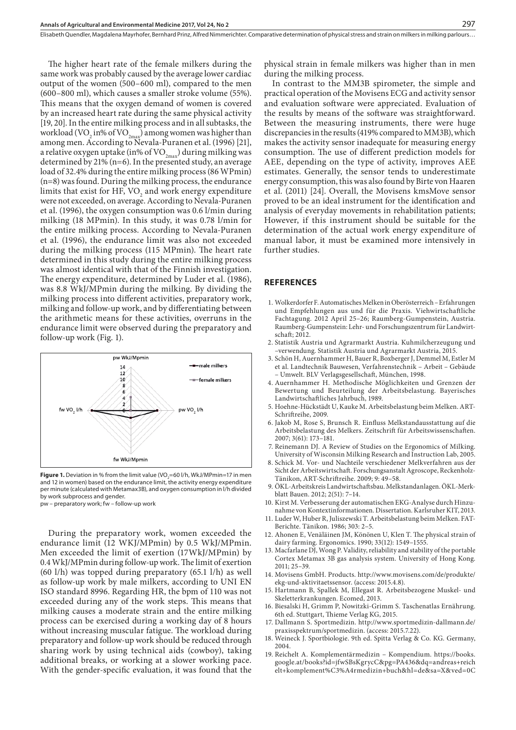The higher heart rate of the female milkers during the same work was probably caused by the average lower cardiac output of the women (500–600 ml), compared to the men (600–800 ml), which causes a smaller stroke volume (55%). This means that the oxygen demand of women is covered by an increased heart rate during the same physical activity [19, 20]. In the entire milking process and in all subtasks, the workload (VO<sub>2</sub> in% of VO<sub>2max</sub>) among women was higher than among men. According to Nevala-Puranen et al. (1996) [21], a relative oxygen uptake (in% of  $\rm VO_{2max}$ ) during milking was determined by 21% (n=6). In the presented study, an average load of 32.4% during the entire milking process (86 WPmin) (n=8) was found. During the milking process, the endurance limits that exist for HF,  $VO<sub>2</sub>$  and work energy expenditure were not exceeded, on average. According to Nevala-Puranen et al. (1996), the oxygen consumption was 0.6 l/min during milking (18 MPmin). In this study, it was 0.78 l/min for the entire milking process. According to Nevala-Puranen et al. (1996), the endurance limit was also not exceeded during the milking process (115 MPmin). The heart rate determined in this study during the entire milking process was almost identical with that of the Finnish investigation. The energy expenditure, determined by Luder et al. (1986), was 8.8 WkJ/MPmin during the milking. By dividing the milking process into different activities, preparatory work, milking and follow-up work, and by differentiating between the arithmetic means for these activities, overruns in the endurance limit were observed during the preparatory and follow-up work (Fig. 1).



**Figure 1.** Deviation in % from the limit value (VO<sub>2</sub>=60 l/h, WkJ/MPmin=17 in men and 12 in women) based on the endurance limit, the activity energy expenditure per minute (calculated with Metamax3B), and oxygen consumption in l/h divided by work subprocess and gender.

pw – preparatory work; fw – follow-up work

During the preparatory work, women exceeded the endurance limit (12 WKJ/MPmin) by 0.5 WkJ/MPmin. Men exceeded the limit of exertion (17WkJ/MPmin) by 0.4 WkJ/MPmin during follow-up work. The limit of exertion (60 l/h) was topped during preparatory (65.1 l/h) as well as follow-up work by male milkers, according to UNI EN ISO standard 8996. Regarding HR, the bpm of 110 was not exceeded during any of the work steps. This means that milking causes a moderate strain and the entire milking process can be exercised during a working day of 8 hours without increasing muscular fatigue. The workload during preparatory and follow-up work should be reduced through sharing work by using technical aids (cowboy), taking additional breaks, or working at a slower working pace. With the gender-specific evaluation, it was found that the

physical strain in female milkers was higher than in men during the milking process.

In contrast to the MM3B spirometer, the simple and practical operation of the Movisens ECG and activity sensor and evaluation software were appreciated. Evaluation of the results by means of the software was straightforward. Between the measuring instruments, there were huge discrepancies in the results (419% compared to MM3B), which makes the activity sensor inadequate for measuring energy consumption. The use of different prediction models for AEE, depending on the type of activity, improves AEE estimates. Generally, the sensor tends to underestimate energy consumption, this was also found by Birte von Haaren et al. (2011) [24]. Overall, the Movisens kmsMove sensor proved to be an ideal instrument for the identification and analysis of everyday movements in rehabilitation patients; However, if this instrument should be suitable for the determination of the actual work energy expenditure of manual labor, it must be examined more intensively in further studies.

#### **REFERENCES**

- 1. Wolkerdorfer F. Automatisches Melken in Oberösterreich Erfahrungen und Empfehlungen aus und für die Praxis. Viehwirtschaftliche Fachtagung. 2012 April 25–26; Raumberg-Gumpenstein, Austria. Raumberg-Gumpenstein: Lehr- und Forschungszentrum für Landwirtschaft; 2012.
- 2. Statistik Austria und Agrarmarkt Austria. Kuhmilcherzeugung und –verwendung. Statistik Austria und Agrarmarkt Austria, 2015.
- 3. Schön H, Auernhammer H, Bauer R, Boxberger J, Demmel M, Estler M et al. Landtechnik Bauwesen, Verfahrenstechnik – Arbeit – Gebäude – Umwelt. BLV Verlagsgesellschaft, München, 1998.
- 4. Auernhammer H. Methodische Möglichkeiten und Grenzen der Bewertung und Beurteilung der Arbeitsbelastung. Bayerisches Landwirtschaftliches Jahrbuch, 1989.
- 5. Hoehne-Hückstädt U, Kauke M. Arbeitsbelastung beim Melken. ART-Schriftreihe, 2009.
- 6. Jakob M, Rose S, Brunsch R. Einfluss Melkstandausstattung auf die Arbeitsbelastung des Melkers. Zeitschrift für Arbeitswissenschaften. 2007; 3(61): 173–181.
- 7. Reinemann DJ. A Review of Studies on the Ergonomics of Milking. University of Wisconsin Milking Research and Instruction Lab, 2005.
- 8. Schick M. Vor- und Nachteile verschiedener Melkverfahren aus der Sicht der Arbeitswirtschaft. Forschungsanstalt Agroscope, Reckenholz-Tänikon, ART-Schriftreihe. 2009; 9: 49–58.
- 9. ÖKL-Arbeitskreis Landwirtschaftsbau. Melkstandanlagen. ÖKL-Merkblatt Bauen. 2012; 2(51): 7–14.
- 10. Kirst M. Verbesserung der automatischen EKG-Analyse durch Hinzunahme von Kontextinformationen. Dissertation. Karlsruher KIT, 2013.
- 11. Luder W, Huber R, Juliszewski T. Arbeitsbelastung beim Melken. FAT-Berichte. Tänikon. 1986; 303: 2–5.
- 12. Ahonen E, Venäläinen JM, Könönen U, Klen T. The physical strain of dairy farming. Ergonomics. 1990; 33(12): 1549–1555.
- 13. Macfarlane DJ, Wong P. Validity, reliability and stability of the portable Cortex Metamax 3B gas analysis system. University of Hong Kong. 2011; 25–39.
- 14. Movisens GmbH. Products. http://www.movisens.com/de/produkte/ ekg-und-aktivitaetssensor. (access: 2015.4.8).
- 15. Hartmann B, Spallek M, Ellegast R. Arbeitsbezogene Muskel- und Skeletterkrankungen. Ecomed, 2013.
- 16. Biesalski H, Grimm P, Nowitzki-Grimm S. Taschenatlas Ernährung. 6th ed. Stuttgart, Thieme Verlag KG, 2015.
- 17. Dallmann S. Sportmedizin. http://www.sportmedizin-dallmann.de/ praxisspektrum/sportmedizin. (access: 2015.7.22).
- 18. Weineck J. Sportbiologie. 9th ed. Spitta Verlag & Co. KG. Germany, 2004.
- 19. Reichelt A. Komplementärmedizin Kompendium. https://books. google.at/books?id=jfwSBsKgrycC&pg=PA436&dq=andreas+reich elt+komplement%C3%A4rmedizin+buch&hl=de&sa=X&ved=0C